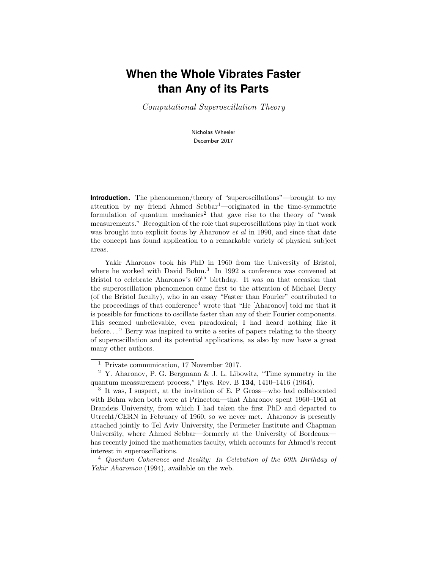# **When the Whole Vibrates Faster than Any of its Parts**

Computational Superoscillation Theory

Nicholas Wheeler December 2017

**Introduction.** The phenomenon/theory of "superoscillations"—brought to my attention by my friend Ahmed Sebbar<sup>1</sup>—originated in the time-symmetric formulation of quantum mechanics<sup>2</sup> that gave rise to the theory of "weak" measurements." Recognition of the role that superoscillations play in that work was brought into explicit focus by Aharonov et al in 1990, and since that date the concept has found application to a remarkable variety of physical subject areas.

Yakir Aharonov took his PhD in 1960 from the University of Bristol, where he worked with David Bohm.<sup>3</sup> In 1992 a conference was convened at Bristol to celebrate Aharonov's  $60<sup>th</sup>$  birthday. It was on that occasion that the superoscillation phenomenon came first to the attention of Michael Berry (of the Bristol faculty), who in an essay "Faster than Fourier" contributed to the proceedings of that conference<sup>4</sup> wrote that "He [Aharonov] told me that it is possible for functions to oscillate faster than any of their Fourier components. This seemed unbelievable, even paradoxical; I had heard nothing like it before..." Berry was inspired to write a series of papers relating to the theory of superoscillation and its potential applications, as also by now have a great many other authors.

<sup>1</sup> Private communication, 17 November 2017.

<sup>2</sup> Y. Aharonov, P. G. Bergmann & J. L. Libowitz, "Time symmetry in the quantum meassurement process," Phys. Rev. B 134, 1410–1416 (1964).

<sup>3</sup> It was, I suspect, at the invitation of E. P Gross—who had collaborated with Bohm when both were at Princeton—that Aharonov spent 1960–1961 at Brandeis University, from which I had taken the first PhD and departed to Utrecht/CERN in February of 1960, so we never met. Aharonov is presently attached jointly to Tel Aviv University, the Perimeter Institute and Chapman University, where Ahmed Sebbar—formerly at the University of Bordeaux has recently joined the mathematics faculty, which accounts for Ahmed's recent interest in superoscillations.

<sup>4</sup> Quantum Coherence and Reality: In Celebation of the 60th Birthday of Yakir Aharomov (1994), available on the web.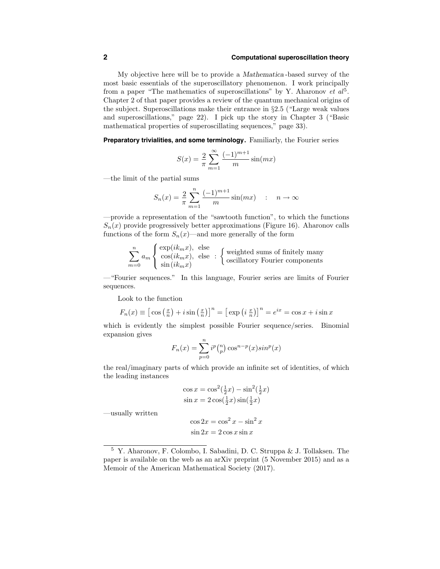## **2 Computational superoscillation theory**

My objective here will be to provide a Mathematica -based survey of the most basic essentials of the superoscillatory phenomenon. I work principally from a paper "The mathematics of superoscillations" by Y. Aharonov et  $al^5$ . Chapter 2 of that paper provides a review of the quantum mechanical origins of the subject. Superoscillations make their entrance in §2.5 ("Large weak values and superoscillations," page 22). I pick up the story in Chapter 3 ("Basic mathematical properties of superoscillating sequences," page 33).

**Preparatory trivialities, and some terminology.** Familiarly, the Fourier series

$$
S(x) = \frac{2}{\pi} \sum_{m=1}^{\infty} \frac{(-1)^{m+1}}{m} \sin(mx)
$$

—the limit of the partial sums

$$
S_n(x) = \frac{2}{\pi} \sum_{m=1}^n \frac{(-1)^{m+1}}{m} \sin(mx) \quad : \quad n \to \infty
$$

—provide a representation of the "sawtooth function", to which the functions  $S_n(x)$  provide progressively better approximations (Figure 16). Aharonov calls functions of the form  $S_n(x)$ —and more generally of the form

$$
\sum_{m=0}^{n} a_m \begin{cases} \exp(ik_m x), & \text{else} \\ \cos(ik_m x), & \text{else} \end{cases} : \begin{cases} \text{weighted sums of finitely many} \\ \text{oscillatory Fourier components} \end{cases}
$$

—"Fourier sequences." In this language, Fourier series are limits of Fourier sequences.

Look to the function

$$
F_n(x) \equiv \left[\cos\left(\frac{x}{n}\right) + i\sin\left(\frac{x}{n}\right)\right]^n = \left[\exp\left(i\frac{x}{n}\right)\right]^n = e^{ix} = \cos x + i\sin x
$$

which is evidently the simplest possible Fourier sequence/series. Binomial expansion gives

$$
F_n(x) = \sum_{p=0}^n i^p \binom{n}{p} \cos^{n-p}(x) \sin^p(x)
$$

the real/imaginary parts of which provide an infinite set of identities, of which the leading instances

$$
\cos x = \cos^2(\frac{1}{2}x) - \sin^2(\frac{1}{2}x)
$$
  

$$
\sin x = 2\cos(\frac{1}{2}x)\sin(\frac{1}{2}x)
$$

—usually written

$$
\cos 2x = \cos^2 x - \sin^2 x
$$
  

$$
\sin 2x = 2 \cos x \sin x
$$

<sup>5</sup> Y. Aharonov, F. Colombo, I. Sabadini, D. C. Struppa & J. Tollaksen. The paper is available on the web as an arXiv preprint (5 November 2015) and as a Memoir of the American Mathematical Society (2017).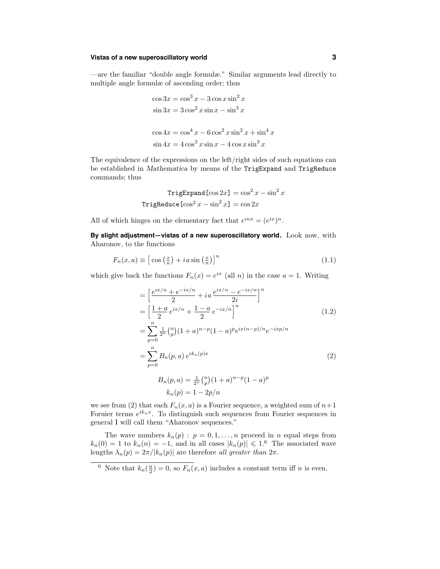# **Vistas of a new superoscillatory world 3**

—are the familiar "double angle formulæ." Similar arguments lead directly to multiple angle formulæ of ascending order; thus

$$
\cos 3x = \cos^3 x - 3\cos x \sin^2 x
$$
  
\n
$$
\sin 3x = 3\cos^2 x \sin x - \sin^3 x
$$
  
\n
$$
\cos 4x = \cos^4 x - 6\cos^2 x \sin^2 x + \sin^4 x
$$
  
\n
$$
\sin 4x = 4\cos^3 x \sin x - 4\cos x \sin^3 x
$$

The equivalence of the expressions on the left/right sides of such equations can be established in Mathematica by means of the TrigExpand and TrigReduce commands; thus

$$
TrigExpand[cos 2x] = cos2 x - sin2 x
$$
  
TrigReduce[cos<sup>2</sup> x - sin<sup>2</sup> x] = cos 2x

All of which hinges on the elementary fact that  $e^{inx} = (e^{ix})^n$ .

**By slight adjustment—vistas of a new superoscillatory world.** Look now, with Aharonov, to the functions

$$
F_n(x, a) \equiv \left[ \cos \left( \frac{x}{n} \right) + i a \sin \left( \frac{x}{n} \right) \right]^n \tag{1.1}
$$

which give back the functions  $F_n(x) = e^{ix}$  (all n) in the case  $a = 1$ . Writing

$$
= \left[\frac{e^{ix/n} + e^{-ix/n}}{2} + i a \frac{e^{ix/n} - e^{-ix/n}}{2i}\right]^n
$$

$$
= \left[\frac{1+a}{2}e^{ix/n} + \frac{1-a}{2}e^{-ix/n}\right]^n
$$
(1.2)

$$
= \sum_{p=0}^{n} \frac{1}{2^n} {n \choose p} (1+a)^{n-p} (1-a)^p e^{ix(n-p)/n} e^{-ixp/n}
$$

$$
= \sum_{p=0}^{n} B_n(p,a) e^{ik_n(p)x}
$$
(2)

$$
B_n(p, a) = \frac{1}{2^n} {n \choose p} (1 + a)^{n-p} (1 - a)^p
$$

$$
k_n(p) = 1 - 2p/n
$$

we see from (2) that each  $F_n(x, a)$  is a Fourier sequence, a weighted sum of  $n+1$ Foruier terms  $e^{ik_nx}$ . To distinguish such sequences from Fourier sequences in general I will call them "Aharonov sequences."

The wave numbers  $k_n(p)$ :  $p = 0, 1, ..., n$  proceed in n equal steps from  $k_n(0) = 1$  to  $k_n(n) = -1$ , and in all cases  $|k_n(p)| \leq 1.6$  The associated wave lengths  $\lambda_n(p) = 2\pi/|k_n(p)|$  are therefore all greater than  $2\pi$ .

<sup>&</sup>lt;sup>6</sup> Note that  $k_n(\frac{n}{2}) = 0$ , so  $F_n(x, a)$  includes a constant term iff *n* is even.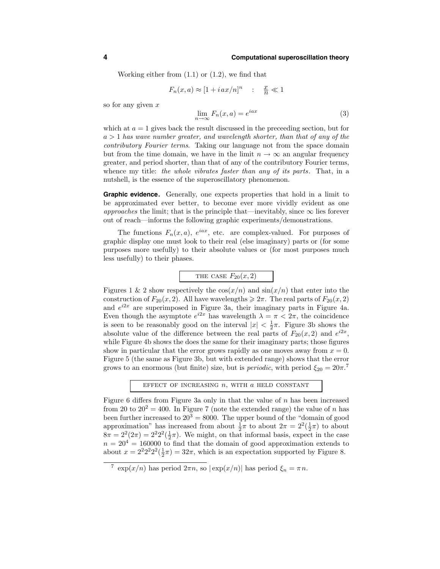Working either from  $(1.1)$  or  $(1.2)$ , we find that

$$
F_n(x,a) \approx [1 + iax/n]^n \quad : \quad \frac{x}{n} \ll 1
$$

so for any given  $x$ 

$$
\lim_{n \to \infty} F_n(x, a) = e^{iax} \tag{3}
$$

which at  $a = 1$  gives back the result discussed in the preceeding section, but for  $a > 1$  has wave number greater, and wavelength shorter, than that of any of the contributory Fourier terms. Taking our language not from the space domain but from the time domain, we have in the limit  $n \to \infty$  an angular frequency greater, and period shorter, than that of any of the contributory Fourier terms, whence my title: the whole vibrates faster than any of its parts. That, in a nutshell, is the essence of the superoscillatory phenomenon.

**Graphic evidence.** Generally, one expects properties that hold in a limit to be approximated ever better, to become ever more vividly evident as one approaches the limit; that is the principle that—inevitably, since  $\infty$  lies forever out of reach—informs the following graphic experiments/demonstrations.

The functions  $F_n(x, a)$ ,  $e^{iax}$ , etc. are complex-valued. For purposes of graphic display one must look to their real (else imaginary) parts or (for some purposes more usefully) to their absolute values or (for most purposes much less usefully) to their phases.

THE CASE 
$$
F_{20}(x, 2)
$$

Figures 1 & 2 show respectively the  $\cos(x/n)$  and  $\sin(x/n)$  that enter into the construction of  $F_{20}(x, 2)$ . All have wavelengths  $\geq 2\pi$ . The real parts of  $F_{20}(x, 2)$ and  $e^{i2x}$  are superimposed in Figure 3a, their imaginary parts in Figure 4a. Even though the asymptote  $e^{i2x}$  has wavelength  $\lambda = \pi < 2\pi$ , the coincidence is seen to be reasonably good on the interval  $|x| < \frac{1}{2}\pi$ . Figure 3b shows the absolute value of the difference between the real parts of  $F_{20}(x, 2)$  and  $e^{i2x}$ , while Figure 4b shows the does the same for their imaginary parts; those figures show in particular that the error grows rapidly as one moves away from  $x = 0$ . Figure 5 (the same as Figure 3b, but with extended range) shows that the error grows to an enormous (but finite) size, but is *periodic*, with period  $\xi_{20} = 20\pi$ .<sup>7</sup>

EFFECT OF INCREASING  $n$ , WITH  $a$  HELD CONSTANT

Figure 6 differs from Figure 3a only in that the value of  $n$  has been increased from 20 to  $20^2 = 400$ . In Figure 7 (note the extended range) the value of n has been further increased to  $20^3 = 8000$ . The upper bound of the "domain of good approximation" has increased from about  $\frac{1}{2}\pi$  to about  $2\pi = 2^2(\frac{1}{2}\pi)$  to about  $8\pi = 2^2(2\pi) = 2^2 2^2(\frac{1}{2}\pi)$ . We might, on that informal basis, expect in the case  $n = 20<sup>4</sup> = 160000$  to find that the domain of good approximation extends to about  $x = 2^2 2^2 2^2 (\frac{1}{2}\pi) = 32\pi$ , which is an expectation supported by Figure 8.

<sup>&</sup>lt;sup>7</sup> exp(x/n) has period  $2\pi n$ , so  $|\exp(x/n)|$  has period  $\xi_n = \pi n$ .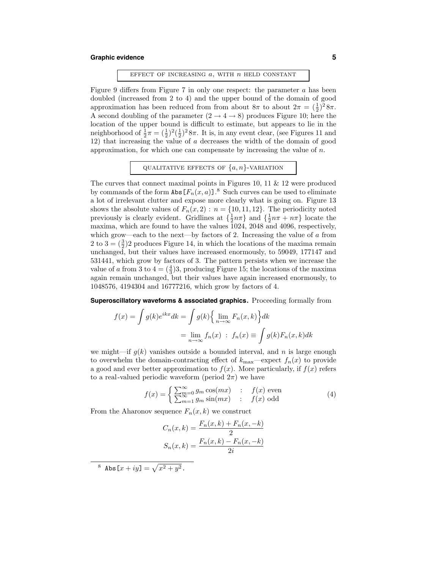# **Graphic evidence 5**

### EFFECT OF INCREASING  $a$ , WITH  $n$  HELD CONSTANT

Figure 9 differs from Figure 7 in only one respect: the parameter  $a$  has been doubled (increased from 2 to 4) and the upper bound of the domain of good approximation has been reduced from from about  $8\pi$  to about  $2\pi = (\frac{1}{2})^2 8\pi$ . A second doubling of the parameter  $(2 \rightarrow 4 \rightarrow 8)$  produces Figure 10; here the location of the upper bound is difficult to estimate, but appears to lie in the neighborhood of  $\frac{1}{2}\pi = (\frac{1}{2})^2(\frac{1}{2})^2 8\pi$ . It is, in any event clear, (see Figures 11 and 12) that increasing the value of a decreases the width of the domain of good approximation, for which one can compensate by increasing the value of  $n$ .

### QUALITATIVE EFFECTS OF  $\{a, n\}$ -VARIATION

The curves that connect maximal points in Figures 10, 11  $\&$  12 were produced by commands of the form  $\text{Abs}\left[F_n(x,a)\right]$ .<sup>8</sup> Such curves can be used to eliminate a lot of irrelevant clutter and expose more clearly what is going on. Figure 13 shows the absolute values of  $F_n(x, 2) : n = \{10, 11, 12\}$ . The periodicity noted previously is clearly evident. Gridlines at  $\{\frac{1}{2}n\pi\}$  and  $\{\frac{1}{2}n\pi + n\pi\}$  locate the maxima, which are found to have the values 1024, 2048 and 4096, respectively, which grow—each to the next—by factors of 2. Increasing the value of  $\alpha$  from 2 to  $3 = (\frac{3}{2})2$  produces Figure 14, in which the locations of the maxima remain unchanged, but their values have increased enormously, to 59049, 177147 and 531441, which grow by factors of 3. The pattern persists when we increase the value of a from 3 to  $4 = (\frac{4}{3})3$ , producing Figure 15; the locations of the maxima again remain unchanged, but their values have again increased enormously, to 1048576, 4194304 and 16777216, which grow by factors of 4.

**Superoscillatory waveforms & associated graphics.** Proceeding formally from

$$
f(x) = \int g(k)e^{ikx}dk = \int g(k)\left\{\lim_{n \to \infty} F_n(x, k)\right\} dk
$$

$$
= \lim_{n \to \infty} f_n(x) \; : \; f_n(x) \equiv \int g(k)F_n(x, k) dk
$$

we might—if  $g(k)$  vanishes outside a bounded interval, and n is large enough to overwhelm the domain-contracting effect of  $k_{\text{max}}$ —expect  $f_n(x)$  to provide a good and ever better approximation to  $f(x)$ . More particularly, if  $f(x)$  refers to a real-valued periodic waveform (period  $2\pi$ ) we have

$$
f(x) = \begin{cases} \sum_{m=0}^{\infty} g_m \cos(mx) & \colon & f(x) \text{ even} \\ \sum_{m=1}^{\infty} g_m \sin(mx) & \colon & f(x) \text{ odd} \end{cases}
$$
(4)

From the Aharonov sequence  $F_n(x, k)$  we construct

$$
C_n(x, k) = \frac{F_n(x, k) + F_n(x, -k)}{2}
$$

$$
S_n(x, k) = \frac{F_n(x, k) - F_n(x, -k)}{2i}
$$

<sup>8</sup> Abs $[x + iy] = \sqrt{x^2 + y^2}$ .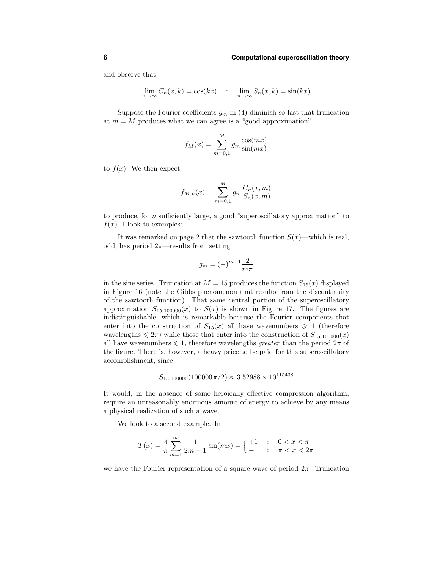## **6 Computational superoscillation theory**

and observe that

$$
\lim_{n \to \infty} C_n(x, k) = \cos(kx) \qquad \lim_{n \to \infty} S_n(x, k) = \sin(kx)
$$

Suppose the Fourier coefficients  $g_m$  in (4) diminish so fast that truncation at  $m = M$  produces what we can agree is a "good approximation"

$$
f_M(x) = \sum_{m=0,1}^{M} g_m \frac{\cos(mx)}{\sin(mx)}
$$

to  $f(x)$ . We then expect

$$
f_{M,n}(x) = \sum_{m=0,1}^{M} g_m \frac{C_n(x,m)}{S_n(x,m)}
$$

to produce, for n sufficiently large, a good "superoscillatory approximation" to  $f(x)$ . I look to examples:

It was remarked on page 2 that the sawtooth function  $S(x)$ —which is real, odd, has period  $2\pi$ —results from setting

$$
g_m=(-)^{m+1}\frac{2}{m\pi}
$$

in the sine series. Truncation at  $M = 15$  produces the function  $S_{15}(x)$  displayed in Figure 16 (note the Gibbs phenomenon that results from the discontinuity of the sawtooth function). That same central portion of the superoscillatory approximation  $S_{15,100000}(x)$  to  $S(x)$  is shown in Figure 17. The figures are indistinguishable, which is remarkable because the Fourier components that enter into the construction of  $S_{15}(x)$  all have wavenumbers  $\geq 1$  (therefore wavelengths  $\leq 2\pi$ ) while those that enter into the construction of  $S_{15,100000}(x)$ all have wavenumbers  $\leq 1$ , therefore wavelengths *greater* than the period  $2\pi$  of the figure. There is, however, a heavy price to be paid for this superoscillatory accomplishment, since

$$
S_{15,100000}(100000\pi/2) \approx 3.52988 \times 10^{115438}
$$

It would, in the absence of some heroically effective compression algorithm, require an unreasonably enormous amount of energy to achieve by any means a physical realization of such a wave.

We look to a second example. In

$$
T(x) = \frac{4}{\pi} \sum_{m=1}^{\infty} \frac{1}{2m-1} \sin(mx) = \begin{cases} +1 & \text{: } 0 < x < \pi \\ -1 & \text{: } \pi < x < 2\pi \end{cases}
$$

we have the Fourier representation of a square wave of period  $2\pi$ . Truncation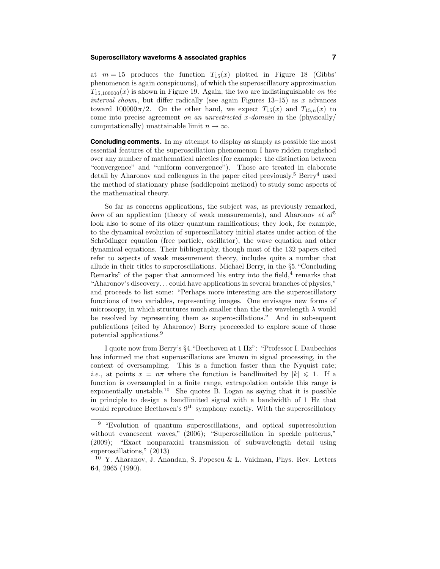# **Superoscillatory waveforms & associated graphics 7**

at  $m = 15$  produces the function  $T_{15}(x)$  plotted in Figure 18 (Gibbs' phenomenon is again conspicuous), of which the superoscillatory approximation  $T_{15,100000}(x)$  is shown in Figure 19. Again, the two are indistinguishable on the interval shown, but differ radically (see again Figures  $13-15$ ) as x advances toward  $100000\pi/2$ . On the other hand, we expect  $T_{15}(x)$  and  $T_{15,n}(x)$  to come into precise agreement on an unrestricted x-domain in the (physically) computationally) unattainable limit  $n \to \infty$ .

**Concluding comments.** In my attempt to display as simply as possible the most essential features of the superoscillation phenomenon I have ridden roughshod over any number of mathematical niceties (for example: the distinction between "convergence" and "uniform convergence"). Those are treated in elaborate detail by Aharonov and colleagues in the paper cited previously.<sup>5</sup> Berry<sup>4</sup> used the method of stationary phase (saddlepoint method) to study some aspects of the mathematical theory.

So far as concerns applications, the subject was, as previously remarked, born of an application (theory of weak measurements), and Aharonov et  $al^5$ look also to some of its other quantum ramifications; they look, for example, to the dynamical evolution of superoscillatory initial states under action of the Schrödinger equation (free particle, oscillator), the wave equation and other dynamical equations. Their bibliography, though most of the 132 papers cited refer to aspects of weak measurement theory, includes quite a number that allude in their titles to superoscillations. Michael Berry, in the  $\S5$ . "Concluding Remarks" of the paper that announced his entry into the field, $4$  remarks that "Aharonov's discovery. . . could have applications in several branches of physics," and proceeds to list some: "Perhaps more interesting are the superoscillatory functions of two variables, representing images. One envisages new forms of microscopy, in which structures much smaller than the the wavelength  $\lambda$  would be resolved by representing them as superoscillations." And in subsequent publications (cited by Aharonov) Berry proceeeded to explore some of those potential applications.<sup>9</sup>

I quote now from Berry's §4."Beethoven at 1 Hz": "Professor I. Daubechies has informed me that superoscillations are known in signal processing, in the context of oversampling. This is a function faster than the Nyquist rate; *i.e.*, at points  $x = n\pi$  where the function is bandlimited by  $|k| \leq 1$ . If a function is oversampled in a finite range, extrapolation outside this range is exponentially unstable.<sup>10</sup> She quotes B. Logan as saying that it is possible in principle to design a bandlimited signal with a bandwidth of 1 Hz that would reproduce Beethoven's  $9<sup>th</sup>$  symphony exactly. With the superoscillatory

<sup>&</sup>lt;sup>9</sup> "Evolution of quantum superoscillations, and optical superresolution without evanescent waves," (2006); "Superoscillation in speckle patterns," (2009); "Exact nonparaxial transmission of subwavelength detail using superoscillations," (2013)

<sup>&</sup>lt;sup>10</sup> Y. Aharanov, J. Anandan, S. Popescu & L. Vaidman, Phys. Rev. Letters 64, 2965 (1990).